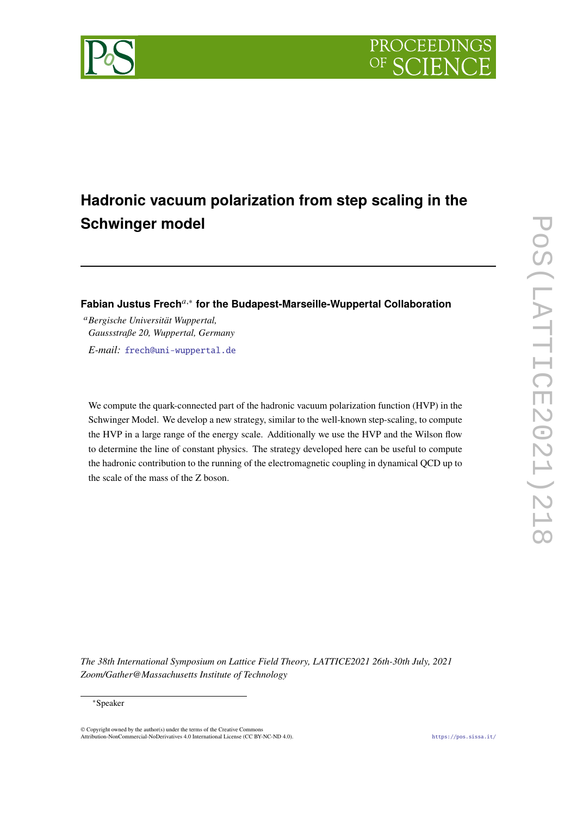

# **Hadronic vacuum polarization from step scaling in the Schwinger model**

## **Fabian Justus Frech**𝑎,<sup>∗</sup> **for the Budapest-Marseille-Wuppertal Collaboration**

<sup>𝑎</sup>*Bergische Universität Wuppertal, Gaussstraße 20, Wuppertal, Germany E-mail:* [frech@uni-wuppertal.de](mailto:frech@uni-wuppertal.de)

We compute the quark-connected part of the hadronic vacuum polarization function (HVP) in the Schwinger Model. We develop a new strategy, similar to the well-known step-scaling, to compute the HVP in a large range of the energy scale. Additionally we use the HVP and the Wilson flow to determine the line of constant physics. The strategy developed here can be useful to compute the hadronic contribution to the running of the electromagnetic coupling in dynamical QCD up to the scale of the mass of the Z boson.

*The 38th International Symposium on Lattice Field Theory, LATTICE2021 26th-30th July, 2021 Zoom/Gather@Massachusetts Institute of Technology*

#### <sup>∗</sup>Speaker

© Copyright owned by the author(s) under the terms of the Creative Commons Attribution-NonCommercial-NoDerivatives 4.0 International License (CC BY-NC-ND 4.0). <https://pos.sissa.it/>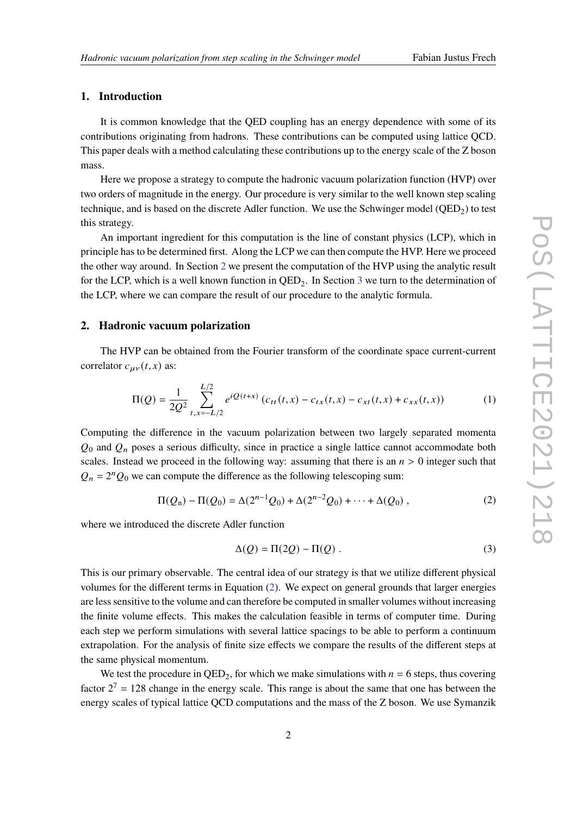#### **1. Introduction**

It is common knowledge that the QED coupling has an energy dependence with some of its contributions originating from hadrons. These contributions can be computed using lattice QCD. This paper deals with a method calculating these contributions up to the energy scale of the Z boson mass.

Here we propose a strategy to compute the hadronic vacuum polarization function (HVP) over two orders of magnitude in the energy. Our procedure is very similar to the well known step scaling technique, and is based on the discrete Adler function. We use the Schwinger model  $(QED_2)$  to test this strategy.

An important ingredient for this computation is the line of constant physics (LCP), which in principle has to be determined first. Along the LCP we can then compute the HVP. Here we proceed the other way around. In Section [2](#page-1-0) we present the computation of the HVP using the analytic result for the LCP, which is a well known function in  $QED_2$ . In Section [3](#page-4-0) we turn to the determination of the LCP, where we can compare the result of our procedure to the analytic formula.

#### <span id="page-1-0"></span>**2. Hadronic vacuum polarization**

The HVP can be obtained from the Fourier transform of the coordinate space current-current correlator  $c_{\mu\nu}(t, x)$  as:

$$
\Pi(Q) = \frac{1}{2Q^2} \sum_{t,x=-L/2}^{L/2} e^{iQ(t+x)} \left( c_{tt}(t,x) - c_{tx}(t,x) - c_{xt}(t,x) + c_{xx}(t,x) \right)
$$
(1)

Computing the difference in the vacuum polarization between two largely separated momenta  $Q_0$  and  $Q_n$  poses a serious difficulty, since in practice a single lattice cannot accommodate both scales. Instead we proceed in the following way: assuming that there is an  $n > 0$  integer such that  $Q_n = 2^n Q_0$  we can compute the difference as the following telescoping sum:

$$
\Pi(Q_n) - \Pi(Q_0) = \Delta(2^{n-1}Q_0) + \Delta(2^{n-2}Q_0) + \cdots + \Delta(Q_0),
$$
\n(2)

where we introduced the discrete Adler function

<span id="page-1-1"></span>
$$
\Delta(Q) = \Pi(2Q) - \Pi(Q) \tag{3}
$$

This is our primary observable. The central idea of our strategy is that we utilize different physical volumes for the different terms in Equation [\(2\)](#page-1-1). We expect on general grounds that larger energies are less sensitive to the volume and can therefore be computed in smaller volumes without increasing the finite volume effects. This makes the calculation feasible in terms of computer time. During each step we perform simulations with several lattice spacings to be able to perform a continuum extrapolation. For the analysis of finite size effects we compare the results of the different steps at the same physical momentum.

We test the procedure in  $QED_2$ , for which we make simulations with  $n = 6$  steps, thus covering factor  $2^7 = 128$  change in the energy scale. This range is about the same that one has between the energy scales of typical lattice QCD computations and the mass of the Z boson. We use Symanzik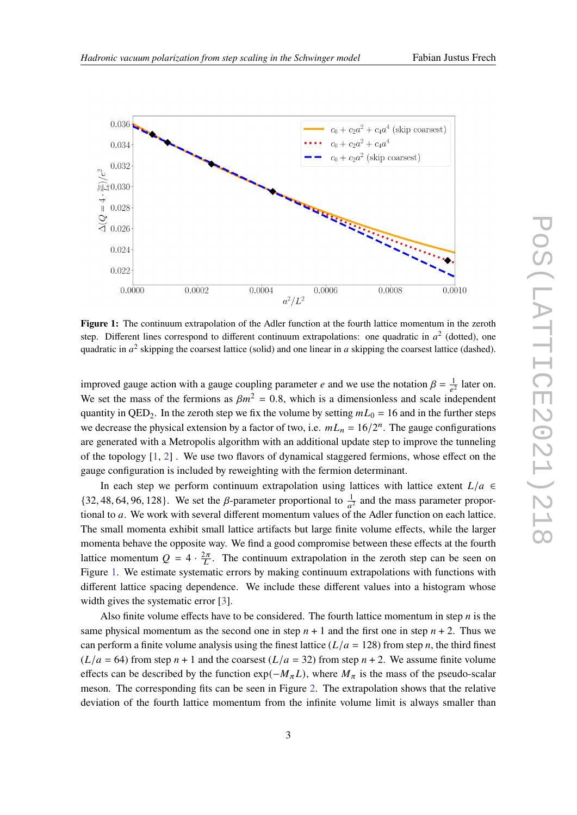<span id="page-2-0"></span>

**Figure 1:** The continuum extrapolation of the Adler function at the fourth lattice momentum in the zeroth step. Different lines correspond to different continuum extrapolations: one quadratic in  $a^2$  (dotted), one quadratic in  $a^2$  skipping the coarsest lattice (solid) and one linear in a skipping the coarsest lattice (dashed).

improved gauge action with a gauge coupling parameter *e* and we use the notation  $\beta = \frac{1}{e^2}$  later on. We set the mass of the fermions as  $\beta m^2 = 0.8$ , which is a dimensionless and scale independent quantity in QED<sub>2</sub>. In the zeroth step we fix the volume by setting  $mL_0 = 16$  and in the further steps we decrease the physical extension by a factor of two, i.e.  $mL_n = 16/2^n$ . The gauge configurations are generated with a Metropolis algorithm with an additional update step to improve the tunneling of the topology [\[1,](#page-9-0) [2\]](#page-9-1) . We use two flavors of dynamical staggered fermions, whose effect on the gauge configuration is included by reweighting with the fermion determinant.

In each step we perform continuum extrapolation using lattices with lattice extent  $L/a \in$ {32, 48, 64, 96, 128}. We set the  $\beta$ -parameter proportional to  $\frac{1}{a^2}$  and the mass parameter proportional to  $a$ . We work with several different momentum values of the Adler function on each lattice. The small momenta exhibit small lattice artifacts but large finite volume effects, while the larger momenta behave the opposite way. We find a good compromise between these effects at the fourth lattice momentum  $Q = 4 \cdot \frac{2\pi}{L}$ . The continuum extrapolation in the zeroth step can be seen on Figure [1.](#page-2-0) We estimate systematic errors by making continuum extrapolations with functions with different lattice spacing dependence. We include these different values into a histogram whose width gives the systematic error [\[3\]](#page-9-2).

Also finite volume effects have to be considered. The fourth lattice momentum in step  $n$  is the same physical momentum as the second one in step  $n + 1$  and the first one in step  $n + 2$ . Thus we can perform a finite volume analysis using the finest lattice  $(L/a = 128)$  from step *n*, the third finest  $(L/a = 64)$  from step  $n + 1$  and the coarsest  $(L/a = 32)$  from step  $n + 2$ . We assume finite volume effects can be described by the function  $\exp(-M_{\pi}L)$ , where  $M_{\pi}$  is the mass of the pseudo-scalar meson. The corresponding fits can be seen in Figure [2.](#page-3-0) The extrapolation shows that the relative deviation of the fourth lattice momentum from the infinite volume limit is always smaller than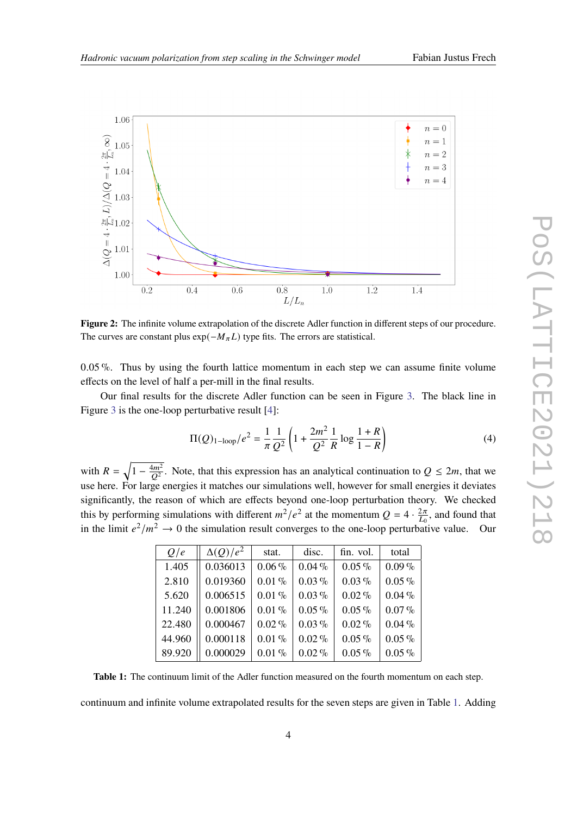<span id="page-3-0"></span>

**Figure 2:** The infinite volume extrapolation of the discrete Adler function in different steps of our procedure. The curves are constant plus  $exp(-M_{\pi}L)$  type fits. The errors are statistical.

0.05 %. Thus by using the fourth lattice momentum in each step we can assume finite volume effects on the level of half a per-mill in the final results.

Our final results for the discrete Adler function can be seen in Figure [3.](#page-4-1) The black line in Figure [3](#page-4-1) is the one-loop perturbative result [\[4\]](#page-9-3):

$$
\Pi(Q)_{1-\text{loop}}/e^2 = \frac{1}{\pi} \frac{1}{Q^2} \left( 1 + \frac{2m^2}{Q^2} \frac{1}{R} \log \frac{1+R}{1-R} \right)
$$
(4)

<span id="page-3-1"></span>with  $R = \sqrt{1 - \frac{4m^2}{Q^2}}$ . Note, that this expression has an analytical continuation to  $Q \le 2m$ , that we use here. For large energies it matches our simulations well, however for small energies it deviates significantly, the reason of which are effects beyond one-loop perturbation theory. We checked this by performing simulations with different  $m^2/e^2$  at the momentum  $Q = 4 \cdot \frac{2\pi}{L_0}$  $\frac{2\pi}{L_0}$ , and found that in the limit  $e^2/m^2 \to 0$  the simulation result converges to the one-loop perturbative value. Our

| Q/e    | $\Delta(Q)/e^2$ | stat.    | disc.    | fin. vol. | total    |
|--------|-----------------|----------|----------|-----------|----------|
| 1.405  | 0.036013        | $0.06\%$ | $0.04\%$ | $0.05\%$  | $0.09\%$ |
| 2.810  | 0.019360        | $0.01\%$ | $0.03\%$ | $0.03\%$  | $0.05\%$ |
| 5.620  | 0.006515        | $0.01\%$ | $0.03\%$ | $0.02\%$  | $0.04\%$ |
| 11.240 | 0.001806        | $0.01\%$ | $0.05\%$ | $0.05\%$  | $0.07\%$ |
| 22.480 | 0.000467        | $0.02\%$ | $0.03\%$ | $0.02\%$  | $0.04\%$ |
| 44.960 | 0.000118        | $0.01\%$ | $0.02\%$ | $0.05\%$  | $0.05\%$ |
| 89.920 | 0.000029        | $0.01\%$ | $0.02\%$ | $0.05\%$  | $0.05\%$ |

**Table 1:** The continuum limit of the Adler function measured on the fourth momentum on each step.

continuum and infinite volume extrapolated results for the seven steps are given in Table [1.](#page-3-1) Adding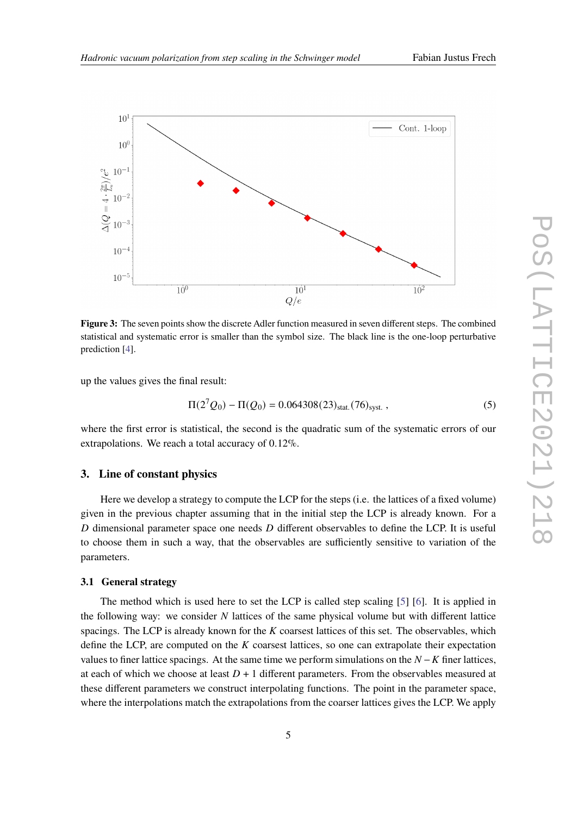<span id="page-4-1"></span>

**Figure 3:** The seven points show the discrete Adler function measured in seven different steps. The combined statistical and systematic error is smaller than the symbol size. The black line is the one-loop perturbative prediction [\[4\]](#page-9-3).

up the values gives the final result:

$$
\Pi(2^7Q_0) - \Pi(Q_0) = 0.064308(23)_{\text{stat.}}(76)_{\text{syst.}},
$$
\n(5)

where the first error is statistical, the second is the quadratic sum of the systematic errors of our extrapolations. We reach a total accuracy of 0.12%.

#### <span id="page-4-0"></span>**3. Line of constant physics**

Here we develop a strategy to compute the LCP for the steps (i.e. the lattices of a fixed volume) given in the previous chapter assuming that in the initial step the LCP is already known. For a  $D$  dimensional parameter space one needs  $D$  different observables to define the LCP. It is useful to choose them in such a way, that the observables are sufficiently sensitive to variation of the parameters.

#### <span id="page-4-2"></span>**3.1 General strategy**

The method which is used here to set the LCP is called step scaling [\[5\]](#page-9-4) [\[6\]](#page-9-5). It is applied in the following way: we consider  $N$  lattices of the same physical volume but with different lattice spacings. The LCP is already known for the  $K$  coarsest lattices of this set. The observables, which define the LCP, are computed on the  $K$  coarsest lattices, so one can extrapolate their expectation values to finer lattice spacings. At the same time we perform simulations on the  $N - K$  finer lattices, at each of which we choose at least  $D + 1$  different parameters. From the observables measured at these different parameters we construct interpolating functions. The point in the parameter space, where the interpolations match the extrapolations from the coarser lattices gives the LCP. We apply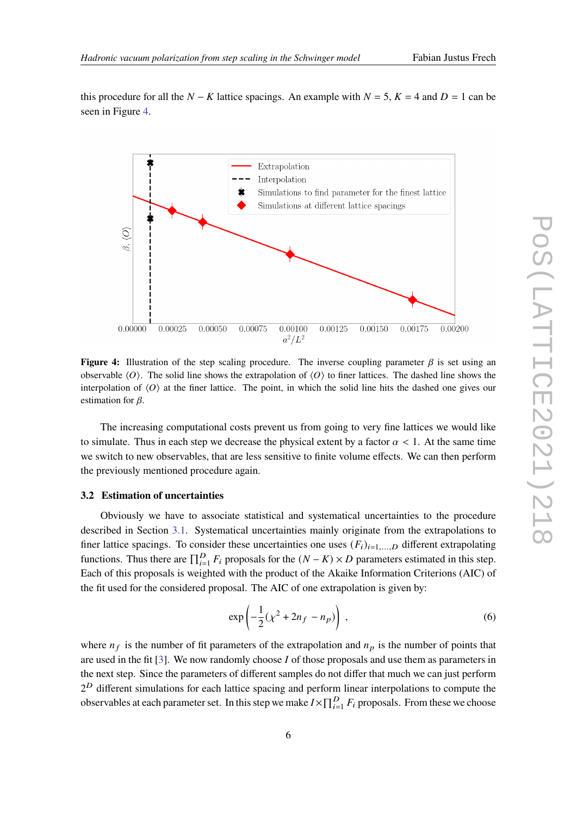<span id="page-5-0"></span>

**Figure 4:** Illustration of the step scaling procedure. The inverse coupling parameter  $\beta$  is set using an observable  $\langle O \rangle$ . The solid line shows the extrapolation of  $\langle O \rangle$  to finer lattices. The dashed line shows the interpolation of  $\langle O \rangle$  at the finer lattice. The point, in which the solid line hits the dashed one gives our estimation for  $\beta$ .

The increasing computational costs prevent us from going to very fine lattices we would like to simulate. Thus in each step we decrease the physical extent by a factor  $\alpha < 1$ . At the same time we switch to new observables, that are less sensitive to finite volume effects. We can then perform the previously mentioned procedure again.

#### **3.2 Estimation of uncertainties**

Obviously we have to associate statistical and systematical uncertainties to the procedure described in Section [3.1.](#page-4-2) Systematical uncertainties mainly originate from the extrapolations to finer lattice spacings. To consider these uncertainties one uses  $(F_i)_{i=1,...,D}$  different extrapolating functions. Thus there are  $\prod_{i=1}^{D} F_i$  proposals for the  $(N - K) \times D$  parameters estimated in this step. Each of this proposals is weighted with the product of the Akaike Information Criterions (AIC) of the fit used for the considered proposal. The AIC of one extrapolation is given by:

$$
\exp\left(-\frac{1}{2}(\chi^2 + 2n_f - n_p)\right) \,,\tag{6}
$$

where  $n_f$  is the number of fit parameters of the extrapolation and  $n_p$  is the number of points that are used in the fit [\[3\]](#page-9-2). We now randomly choose  $I$  of those proposals and use them as parameters in the next step. Since the parameters of different samples do not differ that much we can just perform  $2^D$  different simulations for each lattice spacing and perform linear interpolations to compute the observables at each parameter set. In this step we make  $I \times \prod_{i=1}^{D} F_i$  proposals. From these we choose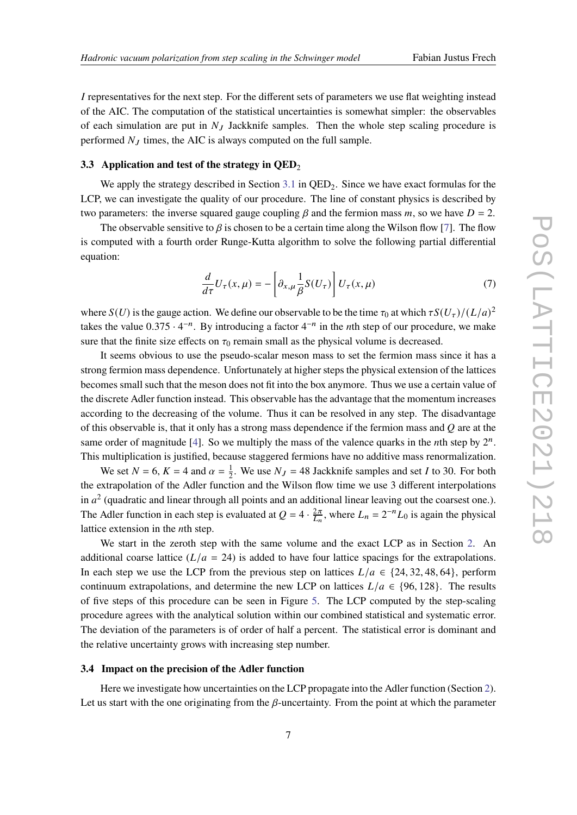I representatives for the next step. For the different sets of parameters we use flat weighting instead of the AIC. The computation of the statistical uncertainties is somewhat simpler: the observables of each simulation are put in  $N_I$  Jackknife samples. Then the whole step scaling procedure is performed  $N_J$  times, the AIC is always computed on the full sample.

#### **3.3** Application and test of the strategy in QED<sub>2</sub>

We apply the strategy described in Section  $3.1$  in QED<sub>2</sub>. Since we have exact formulas for the LCP, we can investigate the quality of our procedure. The line of constant physics is described by two parameters: the inverse squared gauge coupling  $\beta$  and the fermion mass m, so we have  $D = 2$ .

The observable sensitive to  $\beta$  is chosen to be a certain time along the Wilson flow [\[7\]](#page-9-6). The flow is computed with a fourth order Runge-Kutta algorithm to solve the following partial differential equation:

$$
\frac{d}{d\tau}U_{\tau}(x,\mu) = -\left[\partial_{x,\mu}\frac{1}{\beta}S(U_{\tau})\right]U_{\tau}(x,\mu)
$$
\n(7)

where  $S(U)$  is the gauge action. We define our observable to be the time  $\tau_0$  at which  $\tau S(U_\tau)/(L/a)^2$ takes the value  $0.375 \cdot 4^{-n}$ . By introducing a factor  $4^{-n}$  in the *n*th step of our procedure, we make sure that the finite size effects on  $\tau_0$  remain small as the physical volume is decreased.

It seems obvious to use the pseudo-scalar meson mass to set the fermion mass since it has a strong fermion mass dependence. Unfortunately at higher steps the physical extension of the lattices becomes small such that the meson does not fit into the box anymore. Thus we use a certain value of the discrete Adler function instead. This observable has the advantage that the momentum increases according to the decreasing of the volume. Thus it can be resolved in any step. The disadvantage of this observable is, that it only has a strong mass dependence if the fermion mass and  $Q$  are at the same order of magnitude [\[4\]](#page-9-3). So we multiply the mass of the valence quarks in the *n*th step by  $2^n$ . This multiplication is justified, because staggered fermions have no additive mass renormalization.

We set  $N = 6$ ,  $K = 4$  and  $\alpha = \frac{1}{2}$  $\frac{1}{2}$ . We use  $N_J = 48$  Jackknife samples and set *I* to 30. For both the extrapolation of the Adler function and the Wilson flow time we use 3 different interpolations in  $a^2$  (quadratic and linear through all points and an additional linear leaving out the coarsest one.). The Adler function in each step is evaluated at  $Q = 4 \cdot \frac{2\pi}{L_n}$ , where  $L_n = 2^{-n}L_0$  is again the physical lattice extension in the  $n$ th step.

We start in the zeroth step with the same volume and the exact LCP as in Section [2.](#page-1-0) An additional coarse lattice  $(L/a = 24)$  is added to have four lattice spacings for the extrapolations. In each step we use the LCP from the previous step on lattices  $L/a \in \{24, 32, 48, 64\}$ , perform continuum extrapolations, and determine the new LCP on lattices  $L/a \in \{96, 128\}$ . The results of five steps of this procedure can be seen in Figure [5.](#page-7-0) The LCP computed by the step-scaling procedure agrees with the analytical solution within our combined statistical and systematic error. The deviation of the parameters is of order of half a percent. The statistical error is dominant and the relative uncertainty grows with increasing step number.

#### **3.4 Impact on the precision of the Adler function**

Here we investigate how uncertainties on the LCP propagate into the Adler function (Section [2\)](#page-1-0). Let us start with the one originating from the  $\beta$ -uncertainty. From the point at which the parameter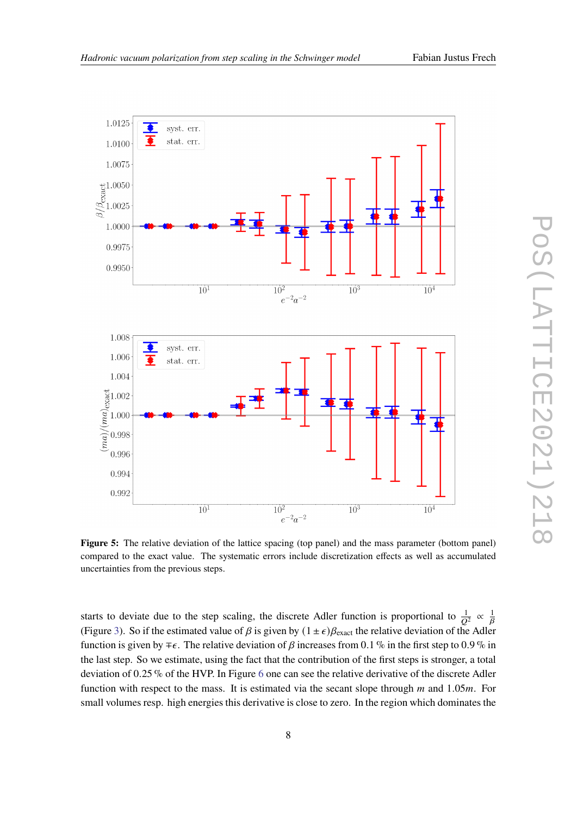<span id="page-7-0"></span>

**Figure 5:** The relative deviation of the lattice spacing (top panel) and the mass parameter (bottom panel) compared to the exact value. The systematic errors include discretization effects as well as accumulated uncertainties from the previous steps.

starts to deviate due to the step scaling, the discrete Adler function is proportional to  $\frac{1}{Q^2} \propto \frac{1}{\beta}$ (Figure [3\)](#page-4-1). So if the estimated value of  $\beta$  is given by  $(1 \pm \epsilon)\beta_{\text{exact}}$  the relative deviation of the Adler function is given by  $\mp \epsilon$ . The relative deviation of  $\beta$  increases from 0.1 % in the first step to 0.9 % in the last step. So we estimate, using the fact that the contribution of the first steps is stronger, a total deviation of 0.25 % of the HVP. In Figure [6](#page-8-0) one can see the relative derivative of the discrete Adler function with respect to the mass. It is estimated via the secant slope through  $m$  and 1.05 $m$ . For small volumes resp. high energies this derivative is close to zero. In the region which dominates the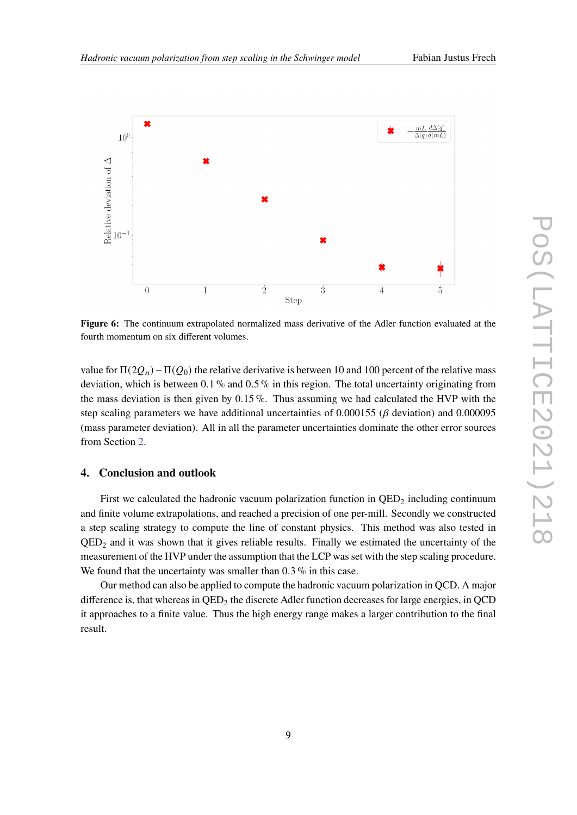<span id="page-8-0"></span>

**Figure 6:** The continuum extrapolated normalized mass derivative of the Adler function evaluated at the fourth momentum on six different volumes.

value for  $\Pi(2Q_n) - \Pi(Q_0)$  the relative derivative is between 10 and 100 percent of the relative mass deviation, which is between 0.1 % and 0.5 % in this region. The total uncertainty originating from the mass deviation is then given by  $0.15\%$ . Thus assuming we had calculated the HVP with the step scaling parameters we have additional uncertainties of  $0.000155$  ( $\beta$  deviation) and  $0.000095$ (mass parameter deviation). All in all the parameter uncertainties dominate the other error sources from Section [2.](#page-1-0)

### **4. Conclusion and outlook**

First we calculated the hadronic vacuum polarization function in  $QED_2$  including continuum and finite volume extrapolations, and reached a precision of one per-mill. Secondly we constructed a step scaling strategy to compute the line of constant physics. This method was also tested in  $QED<sub>2</sub>$  and it was shown that it gives reliable results. Finally we estimated the uncertainty of the measurement of the HVP under the assumption that the LCP was set with the step scaling procedure. We found that the uncertainty was smaller than 0.3% in this case.

Our method can also be applied to compute the hadronic vacuum polarization in QCD. A major difference is, that whereas in  $QED_2$  the discrete Adler function decreases for large energies, in  $QCD$ it approaches to a finite value. Thus the high energy range makes a larger contribution to the final result.